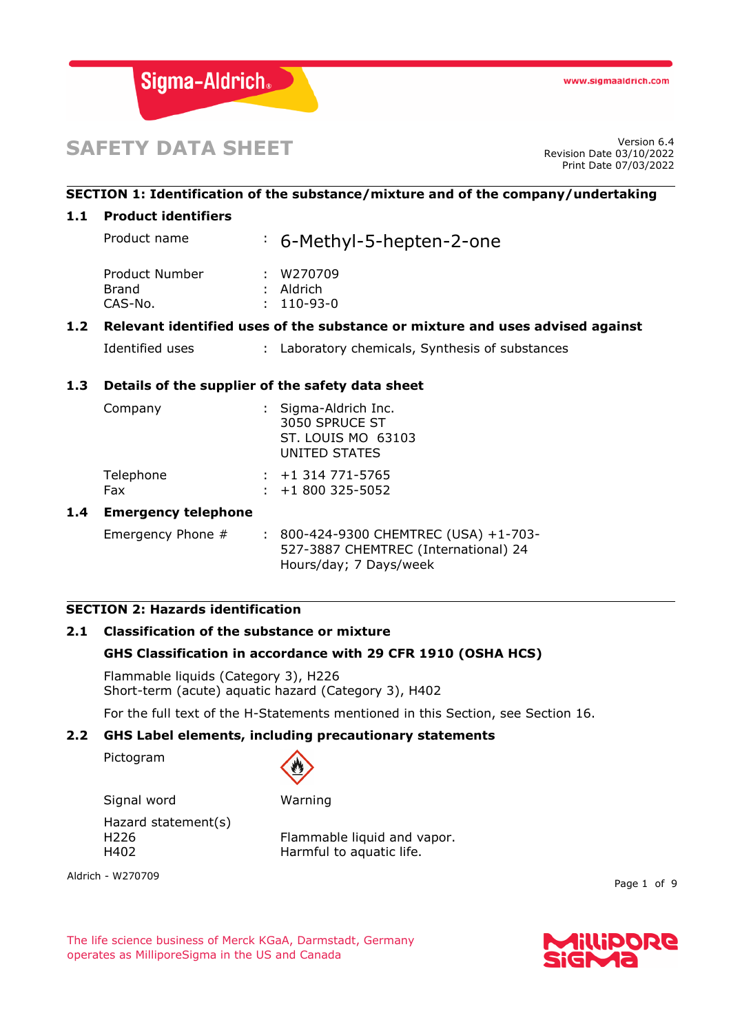

# **SAFETY DATA SHEET**

Revision Date 03/10/2022 Print Date 07/03/2022

## **SECTION 1: Identification of the substance/mixture and of the company/undertaking**

#### **1.1 Product identifiers**

Product name : 6-Methyl-5-hepten-2-one Product Number : W270709 Brand : Aldrich CAS-No. : 110-93-0

## **1.2 Relevant identified uses of the substance or mixture and uses advised against**

Identified uses : Laboratory chemicals, Synthesis of substances

## **1.3 Details of the supplier of the safety data sheet**

| Company          | : Sigma-Aldrich Inc.<br>3050 SPRUCE ST<br><b>ST. LOUIS MO 63103</b><br>UNITED STATES |  |
|------------------|--------------------------------------------------------------------------------------|--|
| Telephone<br>Fax | $: +1314771 - 5765$<br>$\div$ +1 800 325-5052                                        |  |
| .                |                                                                                      |  |

## **1.4 Emergency telephone**

Emergency Phone # : 800-424-9300 CHEMTREC (USA) +1-703-527-3887 CHEMTREC (International) 24 Hours/day; 7 Days/week

#### **SECTION 2: Hazards identification**

## **2.1 Classification of the substance or mixture**

## **GHS Classification in accordance with 29 CFR 1910 (OSHA HCS)**

Flammable liquids (Category 3), H226 Short-term (acute) aquatic hazard (Category 3), H402

For the full text of the H-Statements mentioned in this Section, see Section 16.

## **2.2 GHS Label elements, including precautionary statements**

Pictogram



Signal word Warning Hazard statement(s) H226 Flammable liquid and vapor.

H402 Harmful to aquatic life.

Aldrich - W270709

Page 1 of 9

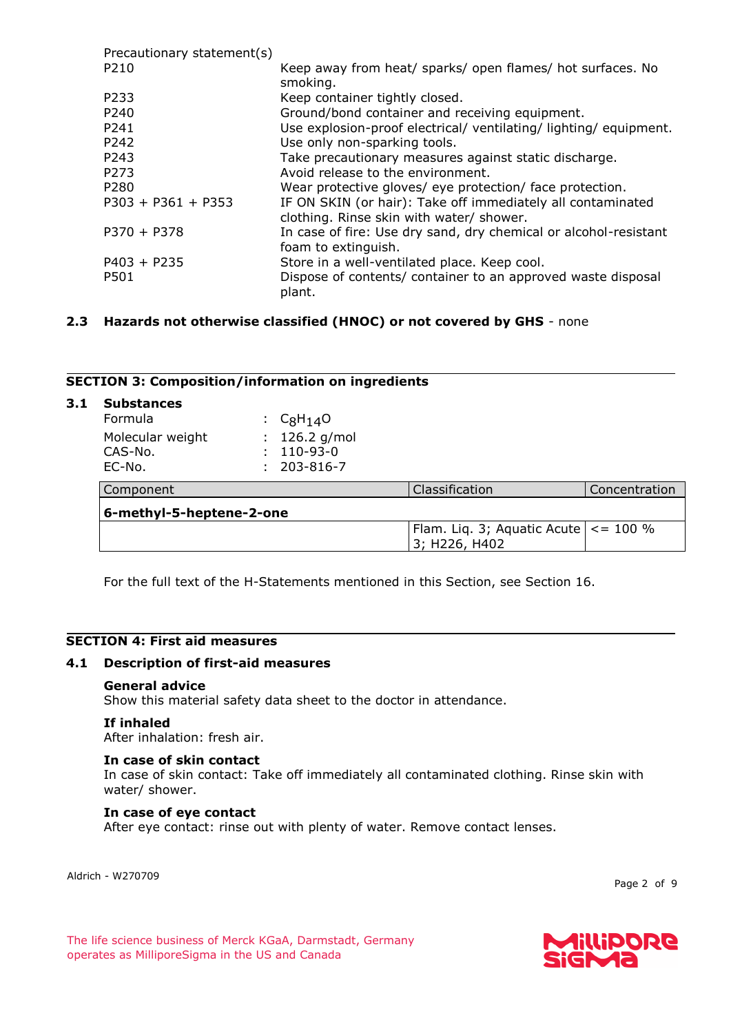| Precautionary statement(s) |                                                                                                         |
|----------------------------|---------------------------------------------------------------------------------------------------------|
| P210                       | Keep away from heat/ sparks/ open flames/ hot surfaces. No<br>smoking.                                  |
|                            |                                                                                                         |
| P233                       | Keep container tightly closed.                                                                          |
| P240                       | Ground/bond container and receiving equipment.                                                          |
| P241                       | Use explosion-proof electrical/ ventilating/ lighting/ equipment.                                       |
| P242                       | Use only non-sparking tools.                                                                            |
| P243                       | Take precautionary measures against static discharge.                                                   |
| P273                       | Avoid release to the environment.                                                                       |
| P280                       | Wear protective gloves/ eye protection/ face protection.                                                |
| $P303 + P361 + P353$       | IF ON SKIN (or hair): Take off immediately all contaminated<br>clothing. Rinse skin with water/ shower. |
| $P370 + P378$              | In case of fire: Use dry sand, dry chemical or alcohol-resistant<br>foam to extinguish.                 |
| $P403 + P235$              | Store in a well-ventilated place. Keep cool.                                                            |
| P501                       | Dispose of contents/ container to an approved waste disposal<br>plant.                                  |

## **2.3 Hazards not otherwise classified (HNOC) or not covered by GHS** - none

#### **SECTION 3: Composition/information on ingredients**

| 3.1 | <b>Substances</b><br>Formula          |  | $C_8H_{14}O$                             |                                                              |               |
|-----|---------------------------------------|--|------------------------------------------|--------------------------------------------------------------|---------------|
|     | Molecular weight<br>CAS-No.<br>EC-No. |  | : $126.2$ g/mol<br>110-93-0<br>203-816-7 |                                                              |               |
|     | Component                             |  |                                          | Classification                                               | Concentration |
|     | 6-methyl-5-heptene-2-one              |  |                                          |                                                              |               |
|     |                                       |  |                                          | Flam. Liq. 3; Aquatic Acute $  \lt = 100$ %<br>3; H226, H402 |               |

For the full text of the H-Statements mentioned in this Section, see Section 16.

## **SECTION 4: First aid measures**

## **4.1 Description of first-aid measures**

#### **General advice**

Show this material safety data sheet to the doctor in attendance.

#### **If inhaled**

After inhalation: fresh air.

#### **In case of skin contact**

In case of skin contact: Take off immediately all contaminated clothing. Rinse skin with water/ shower.

#### **In case of eye contact**

After eye contact: rinse out with plenty of water. Remove contact lenses.

Aldrich - W270709

Page 2 of 9

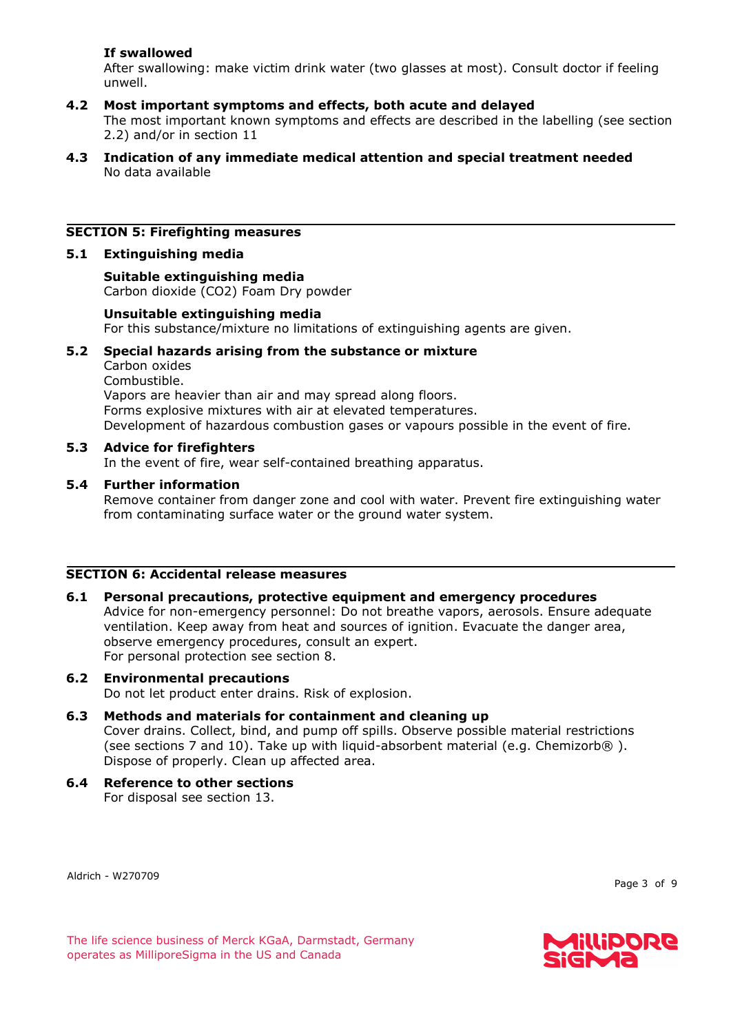## **If swallowed**

After swallowing: make victim drink water (two glasses at most). Consult doctor if feeling unwell.

## **4.2 Most important symptoms and effects, both acute and delayed**

The most important known symptoms and effects are described in the labelling (see section 2.2) and/or in section 11

#### **4.3 Indication of any immediate medical attention and special treatment needed** No data available

## **SECTION 5: Firefighting measures**

#### **5.1 Extinguishing media**

**Suitable extinguishing media** Carbon dioxide (CO2) Foam Dry powder

#### **Unsuitable extinguishing media**

For this substance/mixture no limitations of extinguishing agents are given.

#### **5.2 Special hazards arising from the substance or mixture**

Carbon oxides Combustible. Vapors are heavier than air and may spread along floors. Forms explosive mixtures with air at elevated temperatures. Development of hazardous combustion gases or vapours possible in the event of fire.

#### **5.3 Advice for firefighters**

In the event of fire, wear self-contained breathing apparatus.

#### **5.4 Further information**

Remove container from danger zone and cool with water. Prevent fire extinguishing water from contaminating surface water or the ground water system.

#### **SECTION 6: Accidental release measures**

#### **6.1 Personal precautions, protective equipment and emergency procedures**

Advice for non-emergency personnel: Do not breathe vapors, aerosols. Ensure adequate ventilation. Keep away from heat and sources of ignition. Evacuate the danger area, observe emergency procedures, consult an expert. For personal protection see section 8.

#### **6.2 Environmental precautions**

Do not let product enter drains. Risk of explosion.

#### **6.3 Methods and materials for containment and cleaning up**

Cover drains. Collect, bind, and pump off spills. Observe possible material restrictions (see sections 7 and 10). Take up with liquid-absorbent material (e.g. Chemizorb®). Dispose of properly. Clean up affected area.

**6.4 Reference to other sections** For disposal see section 13.

Aldrich - W270709

Page 3 of 9

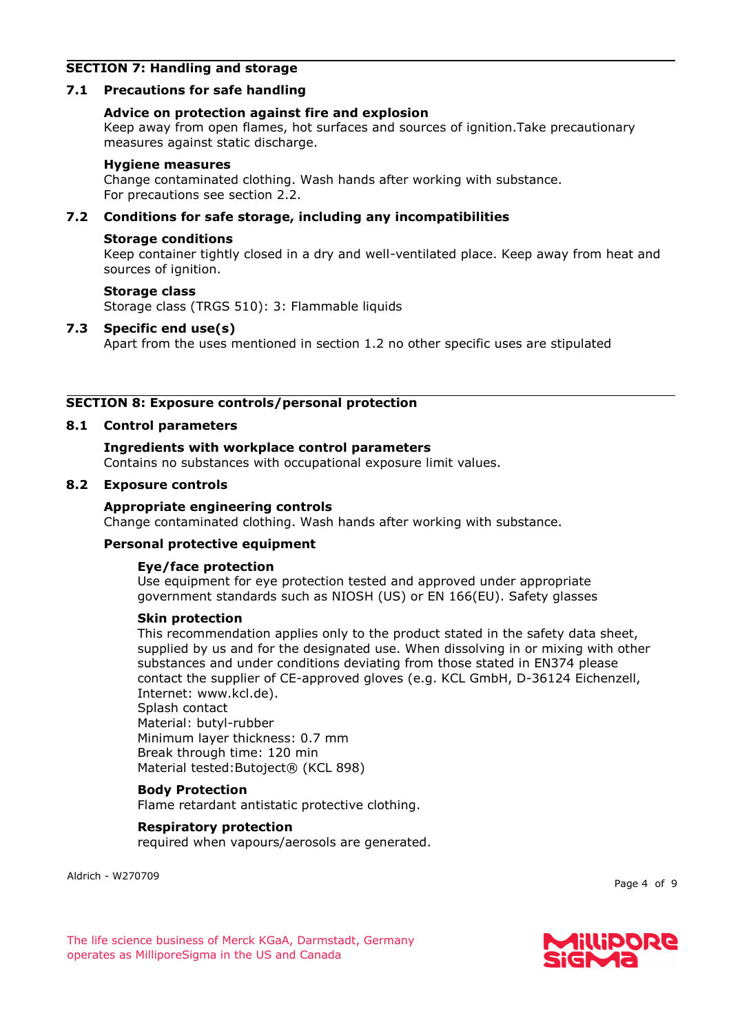## **SECTION 7: Handling and storage**

## **7.1 Precautions for safe handling**

#### **Advice on protection against fire and explosion**

Keep away from open flames, hot surfaces and sources of ignition.Take precautionary measures against static discharge.

#### **Hygiene measures**

Change contaminated clothing. Wash hands after working with substance. For precautions see section 2.2.

#### **7.2 Conditions for safe storage, including any incompatibilities**

#### **Storage conditions**

Keep container tightly closed in a dry and well-ventilated place. Keep away from heat and sources of ignition.

#### **Storage class**

Storage class (TRGS 510): 3: Flammable liquids

#### **7.3 Specific end use(s)**

Apart from the uses mentioned in section 1.2 no other specific uses are stipulated

#### **SECTION 8: Exposure controls/personal protection**

#### **8.1 Control parameters**

#### **Ingredients with workplace control parameters**

Contains no substances with occupational exposure limit values.

#### **8.2 Exposure controls**

#### **Appropriate engineering controls**

Change contaminated clothing. Wash hands after working with substance.

#### **Personal protective equipment**

#### **Eye/face protection**

Use equipment for eye protection tested and approved under appropriate government standards such as NIOSH (US) or EN 166(EU). Safety glasses

#### **Skin protection**

This recommendation applies only to the product stated in the safety data sheet, supplied by us and for the designated use. When dissolving in or mixing with other substances and under conditions deviating from those stated in EN374 please contact the supplier of CE-approved gloves (e.g. KCL GmbH, D-36124 Eichenzell, Internet: www.kcl.de).

#### Splash contact

Material: butyl-rubber Minimum layer thickness: 0.7 mm Break through time: 120 min Material tested:Butoject® (KCL 898)

#### **Body Protection**

Flame retardant antistatic protective clothing.

#### **Respiratory protection**

required when vapours/aerosols are generated.

Aldrich - W270709

Page 4 of 9

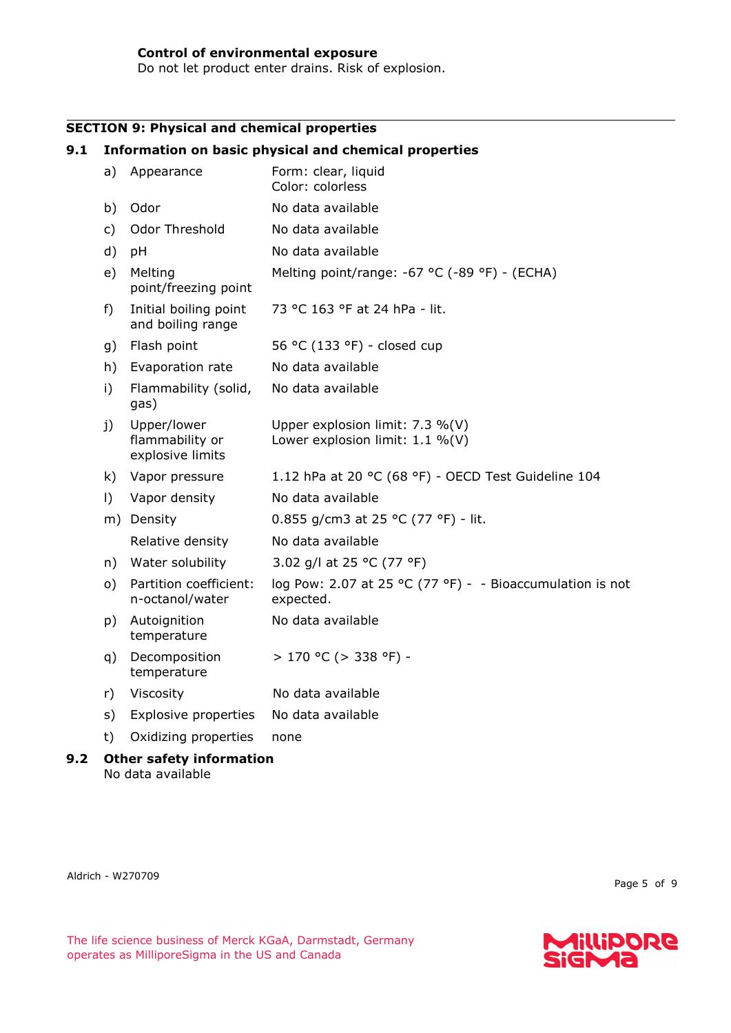Do not let product enter drains. Risk of explosion.

## **SECTION 9: Physical and chemical properties**

#### **9.1 Information on basic physical and chemical properties** a) Appearance Form: clear, liquid Color: colorless b) Odor No data available c) Odor Threshold No data available d) pH No data available e) Melting point/freezing point Melting point/range: -67 °C (-89 °F) - (ECHA) f) Initial boiling point and boiling range 73 °C 163 °F at 24 hPa - lit. g) Flash point  $56 °C (133 °F) - closed cup$ h) Evaporation rate No data available i) Flammability (solid, gas) No data available j) Upper/lower flammability or explosive limits Upper explosion limit: 7.3 %(V) Lower explosion limit: 1.1 %(V) k) Vapor pressure 1.12 hPa at 20 °C (68 °F) - OECD Test Guideline 104 I) Vapor density No data available m) Density 0.855 g/cm3 at 25 °C (77 °F) - lit. Relative density Mo data available n) Water solubility 3.02 g/l at 25 °C (77 °F) o) Partition coefficient: n-octanol/water log Pow: 2.07 at 25 °C (77 °F) - - Bioaccumulation is not expected. p) Autoignition temperature No data available q) Decomposition temperature  $> 170$  °C ( $> 338$  °F) r) Viscosity No data available

- s) Explosive properties No data available
- t) Oxidizing properties none

#### **9.2 Other safety information** No data available

Aldrich - W270709

Page 5 of 9

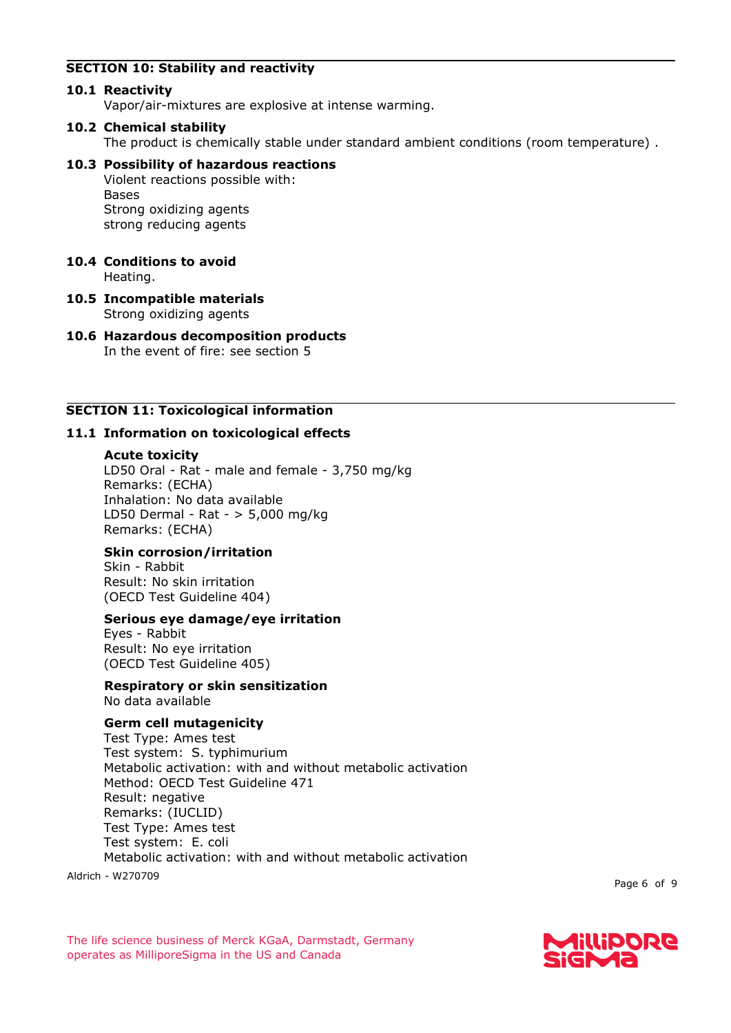## **SECTION 10: Stability and reactivity**

## **10.1 Reactivity**

Vapor/air-mixtures are explosive at intense warming.

## **10.2 Chemical stability**

The product is chemically stable under standard ambient conditions (room temperature) .

## **10.3 Possibility of hazardous reactions**

Violent reactions possible with: Bases Strong oxidizing agents strong reducing agents

## **10.4 Conditions to avoid**

Heating.

**10.5 Incompatible materials** Strong oxidizing agents

#### **10.6 Hazardous decomposition products** In the event of fire: see section 5

## **SECTION 11: Toxicological information**

## **11.1 Information on toxicological effects**

#### **Acute toxicity**

LD50 Oral - Rat - male and female - 3,750 mg/kg Remarks: (ECHA) Inhalation: No data available LD50 Dermal - Rat - > 5,000 mg/kg Remarks: (ECHA)

## **Skin corrosion/irritation**

Skin - Rabbit Result: No skin irritation (OECD Test Guideline 404)

#### **Serious eye damage/eye irritation**

Eyes - Rabbit Result: No eye irritation (OECD Test Guideline 405)

## **Respiratory or skin sensitization**

No data available

## **Germ cell mutagenicity**

Test Type: Ames test Test system: S. typhimurium Metabolic activation: with and without metabolic activation Method: OECD Test Guideline 471 Result: negative Remarks: (IUCLID) Test Type: Ames test Test system: E. coli Metabolic activation: with and without metabolic activation

Aldrich - W270709

Page 6 of 9

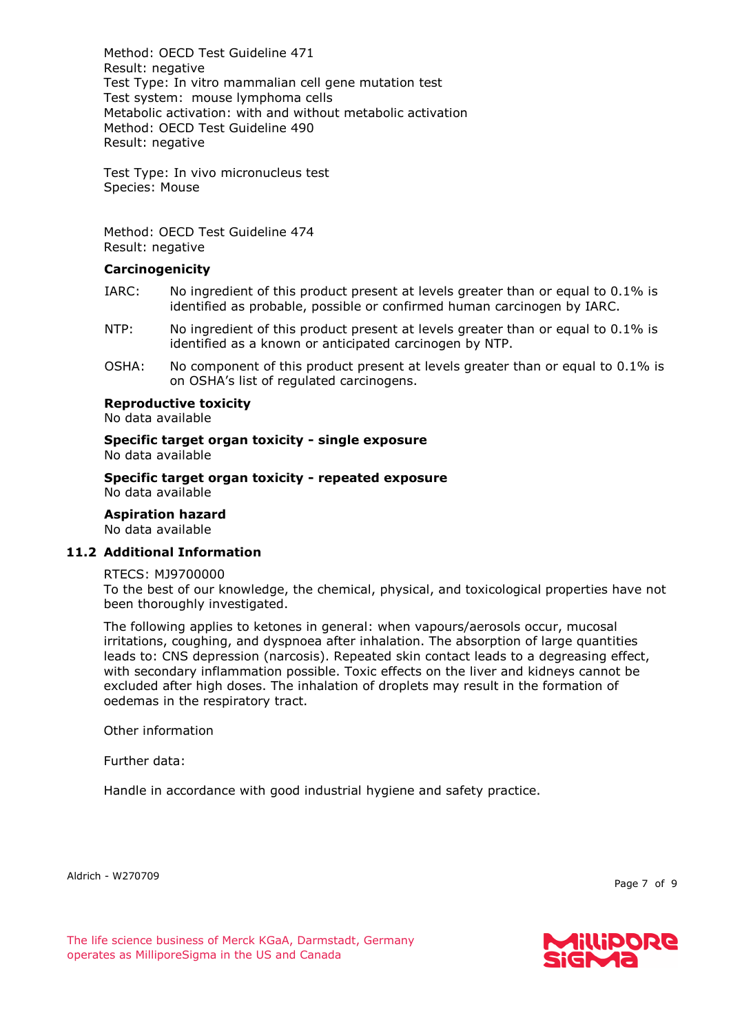Method: OECD Test Guideline 471 Result: negative Test Type: In vitro mammalian cell gene mutation test Test system: mouse lymphoma cells Metabolic activation: with and without metabolic activation Method: OECD Test Guideline 490 Result: negative

Test Type: In vivo micronucleus test Species: Mouse

Method: OECD Test Guideline 474 Result: negative

#### **Carcinogenicity**

- IARC: No ingredient of this product present at levels greater than or equal to 0.1% is identified as probable, possible or confirmed human carcinogen by IARC.
- NTP: No ingredient of this product present at levels greater than or equal to 0.1% is identified as a known or anticipated carcinogen by NTP.
- OSHA: No component of this product present at levels greater than or equal to 0.1% is on OSHA's list of regulated carcinogens.

#### **Reproductive toxicity**

No data available

**Specific target organ toxicity - single exposure** No data available

**Specific target organ toxicity - repeated exposure** No data available

**Aspiration hazard**

No data available

#### **11.2 Additional Information**

#### RTECS: MJ9700000

To the best of our knowledge, the chemical, physical, and toxicological properties have not been thoroughly investigated.

The following applies to ketones in general: when vapours/aerosols occur, mucosal irritations, coughing, and dyspnoea after inhalation. The absorption of large quantities leads to: CNS depression (narcosis). Repeated skin contact leads to a degreasing effect, with secondary inflammation possible. Toxic effects on the liver and kidneys cannot be excluded after high doses. The inhalation of droplets may result in the formation of oedemas in the respiratory tract.

Other information

Further data:

Handle in accordance with good industrial hygiene and safety practice.

Aldrich - W270709

Page 7 of 9

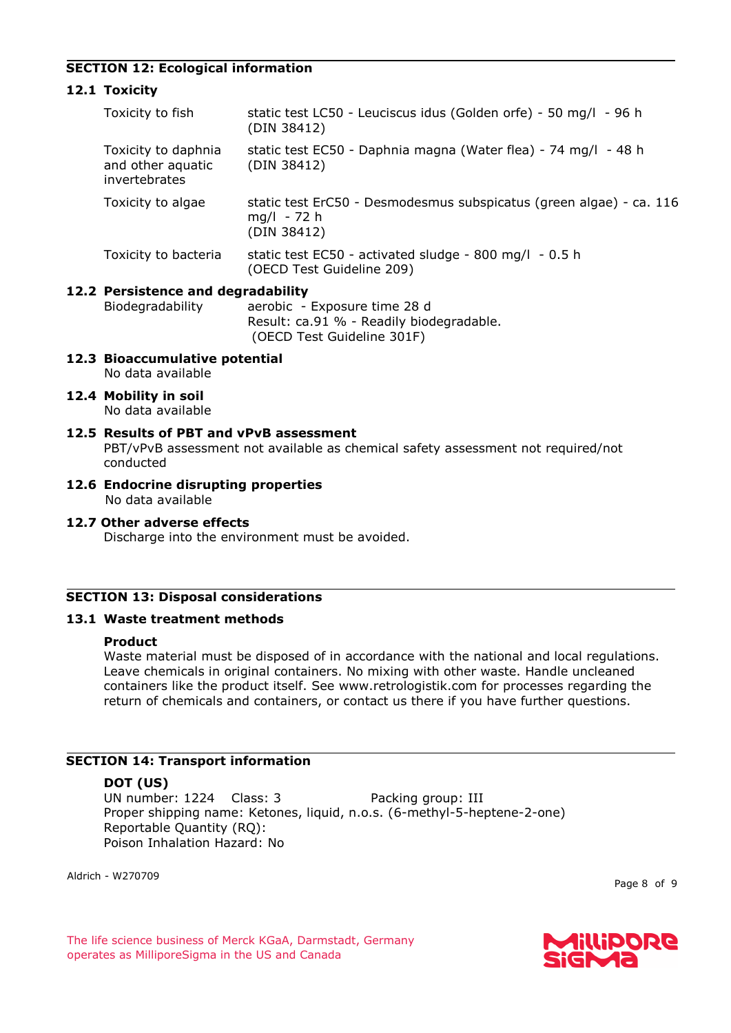## **SECTION 12: Ecological information**

## **12.1 Toxicity**

| Toxicity to fish                                          | static test LC50 - Leuciscus idus (Golden orfe) - 50 mg/l - 96 h<br>(DIN 38412)                     |  |  |  |
|-----------------------------------------------------------|-----------------------------------------------------------------------------------------------------|--|--|--|
| Toxicity to daphnia<br>and other aquatic<br>invertebrates | static test EC50 - Daphnia magna (Water flea) - 74 mg/l - 48 h<br>(DIN 38412)                       |  |  |  |
| Toxicity to algae                                         | static test ErC50 - Desmodesmus subspicatus (green algae) - ca. 116<br>$mq/l - 72 h$<br>(DIN 38412) |  |  |  |
| Toxicity to bacteria                                      | static test EC50 - activated sludge - 800 mg/l - 0.5 h<br>(OECD Test Guideline 209)                 |  |  |  |
| 12.2 Persistence and degradability                        |                                                                                                     |  |  |  |

Biodegradability aerobic - Exposure time 28 d

Result: ca.91 % - Readily biodegradable. (OECD Test Guideline 301F)

- **12.3 Bioaccumulative potential** No data available
- **12.4 Mobility in soil**

No data available

#### **12.5 Results of PBT and vPvB assessment** PBT/vPvB assessment not available as chemical safety assessment not required/not conducted

**12.6 Endocrine disrupting properties** No data available

#### **12.7 Other adverse effects**

Discharge into the environment must be avoided.

#### **SECTION 13: Disposal considerations**

#### **13.1 Waste treatment methods**

## **Product**

Waste material must be disposed of in accordance with the national and local regulations. Leave chemicals in original containers. No mixing with other waste. Handle uncleaned containers like the product itself. See www.retrologistik.com for processes regarding the return of chemicals and containers, or contact us there if you have further questions.

## **SECTION 14: Transport information**

#### **DOT (US)**

UN number: 1224 Class: 3 Packing group: III Proper shipping name: Ketones, liquid, n.o.s. (6-methyl-5-heptene-2-one) Reportable Quantity (RQ): Poison Inhalation Hazard: No

Aldrich - W270709

Page 8 of 9